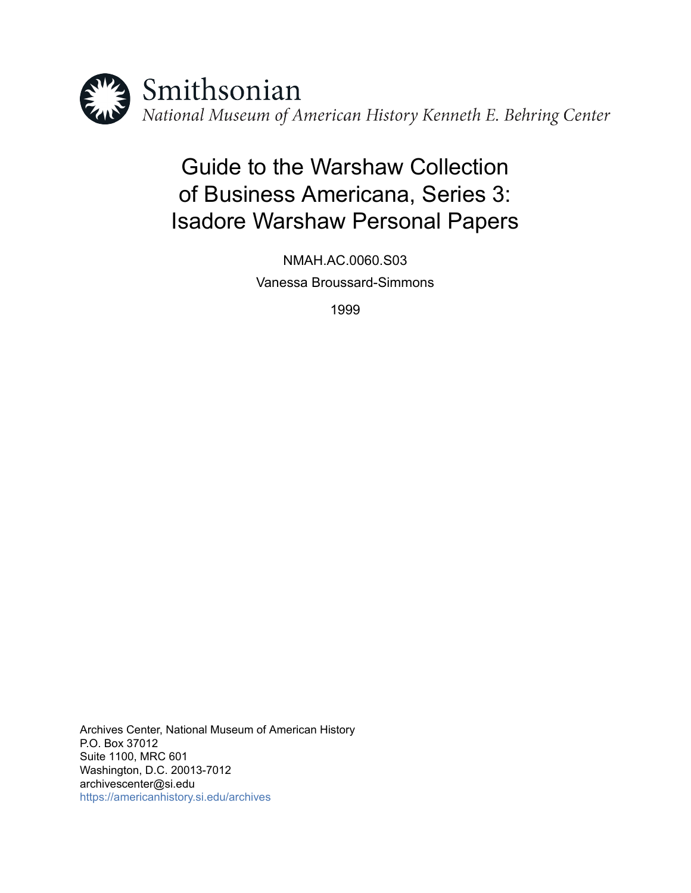

# Guide to the Warshaw Collection of Business Americana, Series 3: Isadore Warshaw Personal Papers

NMAH.AC.0060.S03 Vanessa Broussard-Simmons

1999

Archives Center, National Museum of American History P.O. Box 37012 Suite 1100, MRC 601 Washington, D.C. 20013-7012 archivescenter@si.edu <https://americanhistory.si.edu/archives>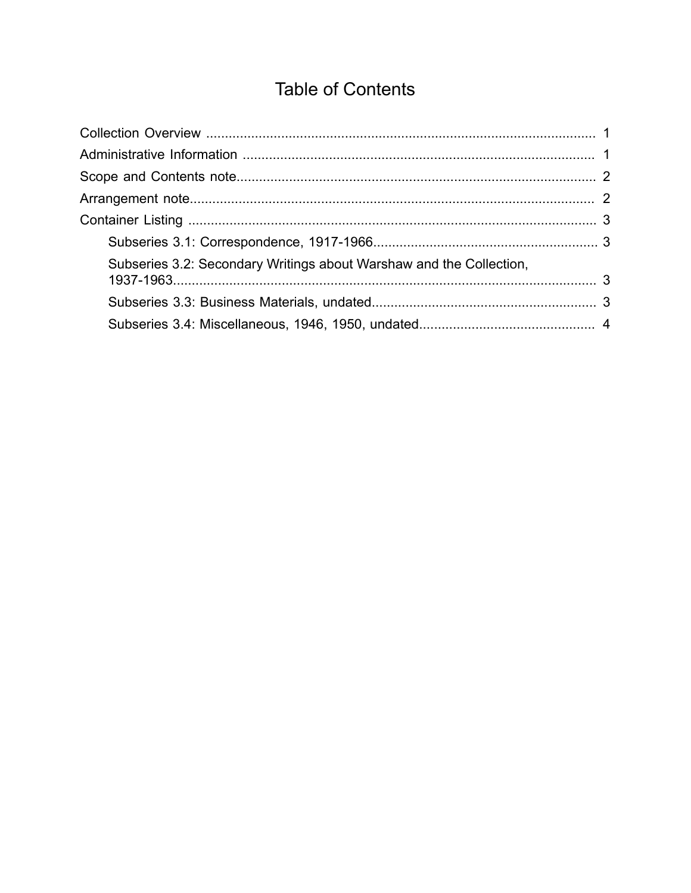## **Table of Contents**

<span id="page-1-0"></span>

| Subseries 3.2: Secondary Writings about Warshaw and the Collection, |  |
|---------------------------------------------------------------------|--|
|                                                                     |  |
|                                                                     |  |
|                                                                     |  |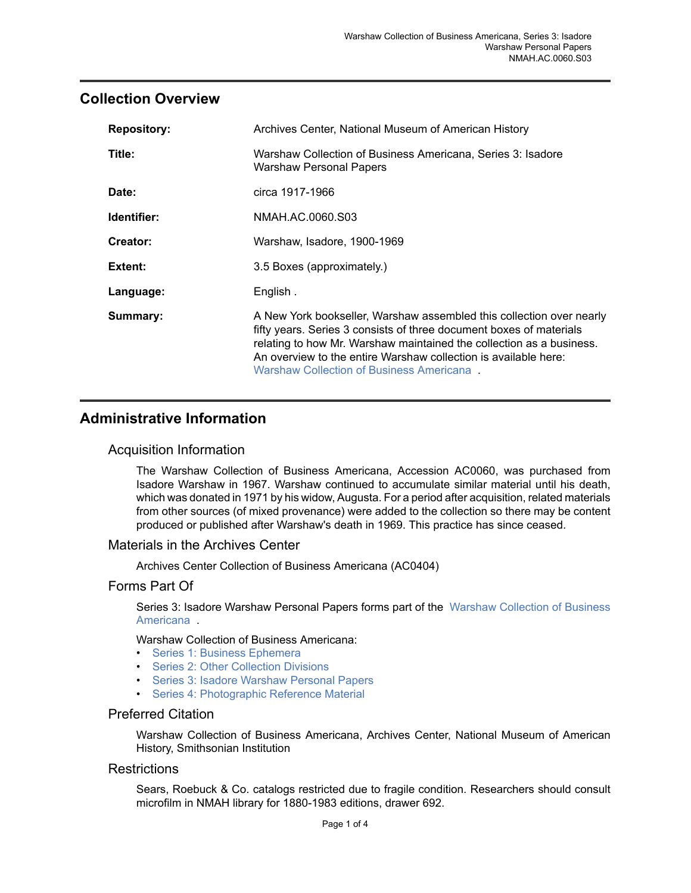#### <span id="page-2-0"></span>**Collection Overview**

| <b>Repository:</b> | Archives Center, National Museum of American History                                                                                                                                                                                                                                                                               |
|--------------------|------------------------------------------------------------------------------------------------------------------------------------------------------------------------------------------------------------------------------------------------------------------------------------------------------------------------------------|
| Title:             | Warshaw Collection of Business Americana, Series 3: Isadore<br>Warshaw Personal Papers                                                                                                                                                                                                                                             |
| Date:              | circa 1917-1966                                                                                                                                                                                                                                                                                                                    |
| Identifier:        | NMAH.AC.0060.S03                                                                                                                                                                                                                                                                                                                   |
| Creator:           | Warshaw, Isadore, 1900-1969                                                                                                                                                                                                                                                                                                        |
| Extent:            | 3.5 Boxes (approximately.)                                                                                                                                                                                                                                                                                                         |
| Language:          | English.                                                                                                                                                                                                                                                                                                                           |
| Summary:           | A New York bookseller, Warshaw assembled this collection over nearly<br>fifty years. Series 3 consists of three document boxes of materials<br>relating to how Mr. Warshaw maintained the collection as a business.<br>An overview to the entire Warshaw collection is available here:<br>Warshaw Collection of Business Americana |

### <span id="page-2-1"></span>**Administrative Information**

#### Acquisition Information

The Warshaw Collection of Business Americana, Accession AC0060, was purchased from Isadore Warshaw in 1967. Warshaw continued to accumulate similar material until his death, which was donated in 1971 by his widow, Augusta. For a period after acquisition, related materials from other sources (of mixed provenance) were added to the collection so there may be content produced or published after Warshaw's death in 1969. This practice has since ceased.

#### Materials in the Archives Center

Archives Center Collection of Business Americana (AC0404)

#### Forms Part Of

Series 3: Isadore Warshaw Personal Papers forms part of the Warshaw [Collection](http://sova.si.edu/record/NMAH.AC.0060) of Business [Americana](http://sova.si.edu/record/NMAH.AC.0060) .

Warshaw Collection of Business Americana:

- [Series 1: Business Ephemera](http://sova.si.edu/record/NMAH.AC.0060.S01)
- [Series 2: Other Collection Divisions](http://sova.si.edu/record/NMAH.AC.0060.S02)
- Series 3: Isadore [Warshaw](http://sova.si.edu/record/NMAH.AC.0060.S03) Personal Papers
- [Series 4: Photographic Reference Material](http://sova.si.edu/record/NMAH.AC.0060.S04)

#### Preferred Citation

Warshaw Collection of Business Americana, Archives Center, National Museum of American History, Smithsonian Institution

#### **Restrictions**

Sears, Roebuck & Co. catalogs restricted due to fragile condition. Researchers should consult microfilm in NMAH library for 1880-1983 editions, drawer 692.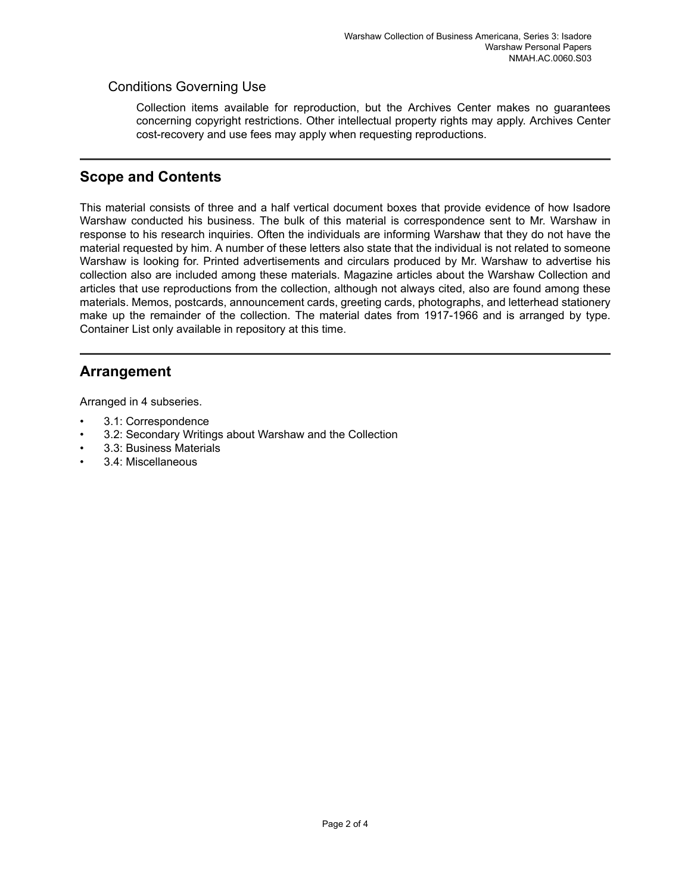#### Conditions Governing Use

Collection items available for reproduction, but the Archives Center makes no guarantees concerning copyright restrictions. Other intellectual property rights may apply. Archives Center cost-recovery and use fees may apply when requesting reproductions.

## <span id="page-3-0"></span>**Scope and Contents**

This material consists of three and a half vertical document boxes that provide evidence of how Isadore Warshaw conducted his business. The bulk of this material is correspondence sent to Mr. Warshaw in response to his research inquiries. Often the individuals are informing Warshaw that they do not have the material requested by him. A number of these letters also state that the individual is not related to someone Warshaw is looking for. Printed advertisements and circulars produced by Mr. Warshaw to advertise his collection also are included among these materials. Magazine articles about the Warshaw Collection and articles that use reproductions from the collection, although not always cited, also are found among these materials. Memos, postcards, announcement cards, greeting cards, photographs, and letterhead stationery make up the remainder of the collection. The material dates from 1917-1966 and is arranged by type. Container List only available in repository at this time.

## <span id="page-3-1"></span>**Arrangement**

Arranged in 4 subseries.

- 3.1: Correspondence
- 3.2: Secondary Writings about Warshaw and the Collection
- 3.3: Business Materials
- 3.4: Miscellaneous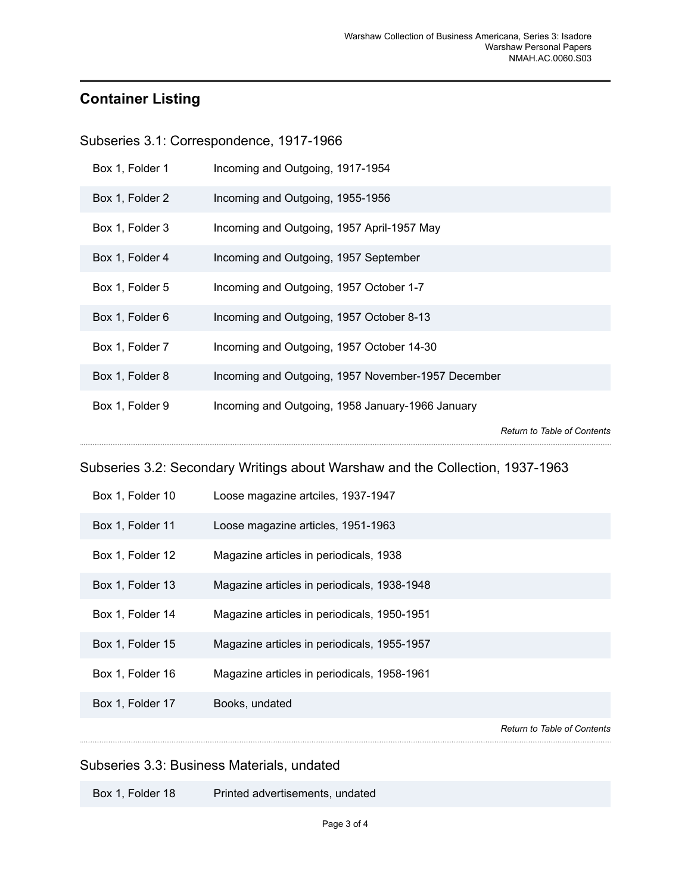## <span id="page-4-0"></span>**Container Listing**

<span id="page-4-1"></span>Subseries 3.1: Correspondence, 1917-1966

| Box 1, Folder 1  | Incoming and Outgoing, 1917-1954                                              |
|------------------|-------------------------------------------------------------------------------|
| Box 1, Folder 2  | Incoming and Outgoing, 1955-1956                                              |
| Box 1, Folder 3  | Incoming and Outgoing, 1957 April-1957 May                                    |
| Box 1, Folder 4  | Incoming and Outgoing, 1957 September                                         |
| Box 1, Folder 5  | Incoming and Outgoing, 1957 October 1-7                                       |
| Box 1, Folder 6  | Incoming and Outgoing, 1957 October 8-13                                      |
| Box 1, Folder 7  | Incoming and Outgoing, 1957 October 14-30                                     |
| Box 1, Folder 8  | Incoming and Outgoing, 1957 November-1957 December                            |
| Box 1, Folder 9  | Incoming and Outgoing, 1958 January-1966 January                              |
|                  | <b>Return to Table of Contents</b>                                            |
|                  |                                                                               |
|                  | Subseries 3.2: Secondary Writings about Warshaw and the Collection, 1937-1963 |
| Box 1, Folder 10 | Loose magazine artciles, 1937-1947                                            |
| Box 1, Folder 11 | Loose magazine articles, 1951-1963                                            |
| Box 1, Folder 12 | Magazine articles in periodicals, 1938                                        |
| Box 1, Folder 13 | Magazine articles in periodicals, 1938-1948                                   |
| Box 1, Folder 14 | Magazine articles in periodicals, 1950-1951                                   |
| Box 1, Folder 15 | Magazine articles in periodicals, 1955-1957                                   |
| Box 1, Folder 16 | Magazine articles in periodicals, 1958-1961                                   |
| Box 1, Folder 17 | Books, undated                                                                |

<span id="page-4-3"></span><span id="page-4-2"></span>Subseries 3.3: Business Materials, undated

Box 1, Folder 18 Printed advertisements, undated